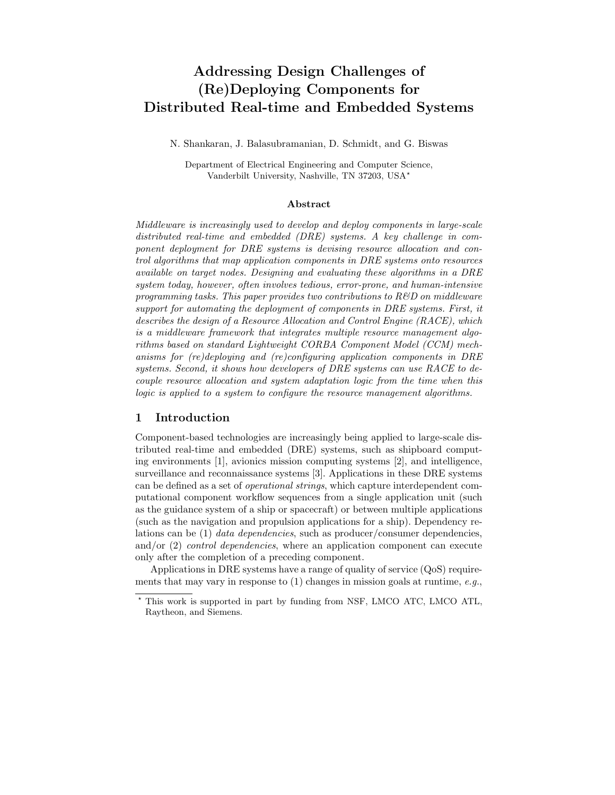# Addressing Design Challenges of (Re)Deploying Components for Distributed Real-time and Embedded Systems

N. Shankaran, J. Balasubramanian, D. Schmidt, and G. Biswas

Department of Electrical Engineering and Computer Science, Vanderbilt University, Nashville, TN 37203, USA?

#### Abstract

Middleware is increasingly used to develop and deploy components in large-scale distributed real-time and embedded (DRE) systems. A key challenge in component deployment for DRE systems is devising resource allocation and control algorithms that map application components in DRE systems onto resources available on target nodes. Designing and evaluating these algorithms in a DRE system today, however, often involves tedious, error-prone, and human-intensive programming tasks. This paper provides two contributions to  $R\&D$  on middleware support for automating the deployment of components in DRE systems. First, it describes the design of a Resource Allocation and Control Engine (RACE), which is a middleware framework that integrates multiple resource management algorithms based on standard Lightweight CORBA Component Model (CCM) mechanisms for (re)deploying and (re)configuring application components in DRE systems. Second, it shows how developers of DRE systems can use RACE to decouple resource allocation and system adaptation logic from the time when this logic is applied to a system to configure the resource management algorithms.

## 1 Introduction

Component-based technologies are increasingly being applied to large-scale distributed real-time and embedded (DRE) systems, such as shipboard computing environments [1], avionics mission computing systems [2], and intelligence, surveillance and reconnaissance systems [3]. Applications in these DRE systems can be defined as a set of operational strings, which capture interdependent computational component workflow sequences from a single application unit (such as the guidance system of a ship or spacecraft) or between multiple applications (such as the navigation and propulsion applications for a ship). Dependency relations can be (1) data dependencies, such as producer/consumer dependencies, and/or  $(2)$  *control dependencies*, where an application component can execute only after the completion of a preceding component.

Applications in DRE systems have a range of quality of service (QoS) requirements that may vary in response to  $(1)$  changes in mission goals at runtime, e.g.,

<sup>?</sup> This work is supported in part by funding from NSF, LMCO ATC, LMCO ATL, Raytheon, and Siemens.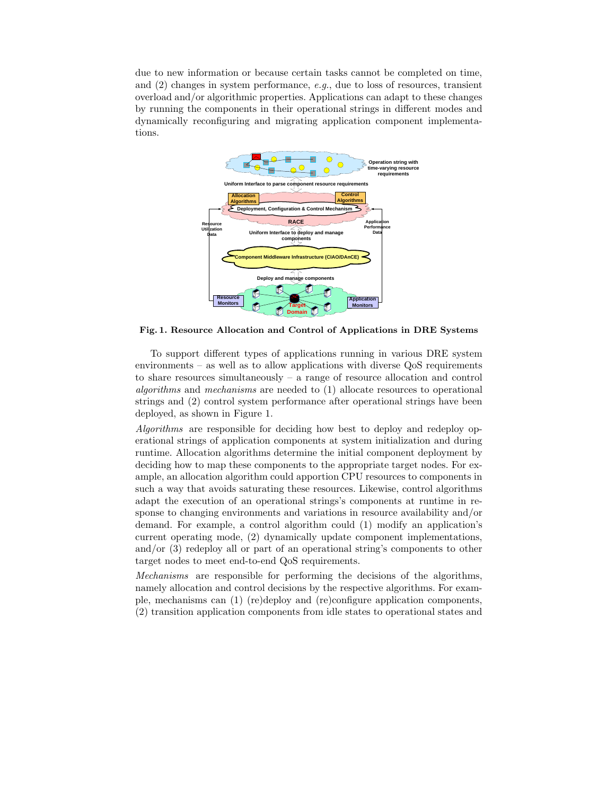due to new information or because certain tasks cannot be completed on time, and  $(2)$  changes in system performance, e.g., due to loss of resources, transient overload and/or algorithmic properties. Applications can adapt to these changes by running the components in their operational strings in different modes and dynamically reconfiguring and migrating application component implementations.



Fig. 1. Resource Allocation and Control of Applications in DRE Systems

To support different types of applications running in various DRE system environments – as well as to allow applications with diverse QoS requirements to share resources simultaneously  $-$  a range of resource allocation and control algorithms and mechanisms are needed to (1) allocate resources to operational strings and (2) control system performance after operational strings have been deployed, as shown in Figure 1.

Algorithms are responsible for deciding how best to deploy and redeploy operational strings of application components at system initialization and during runtime. Allocation algorithms determine the initial component deployment by deciding how to map these components to the appropriate target nodes. For example, an allocation algorithm could apportion CPU resources to components in such a way that avoids saturating these resources. Likewise, control algorithms adapt the execution of an operational strings's components at runtime in response to changing environments and variations in resource availability and/or demand. For example, a control algorithm could (1) modify an application's current operating mode, (2) dynamically update component implementations, and/or (3) redeploy all or part of an operational string's components to other target nodes to meet end-to-end QoS requirements.

Mechanisms are responsible for performing the decisions of the algorithms, namely allocation and control decisions by the respective algorithms. For example, mechanisms can (1) (re)deploy and (re)configure application components, (2) transition application components from idle states to operational states and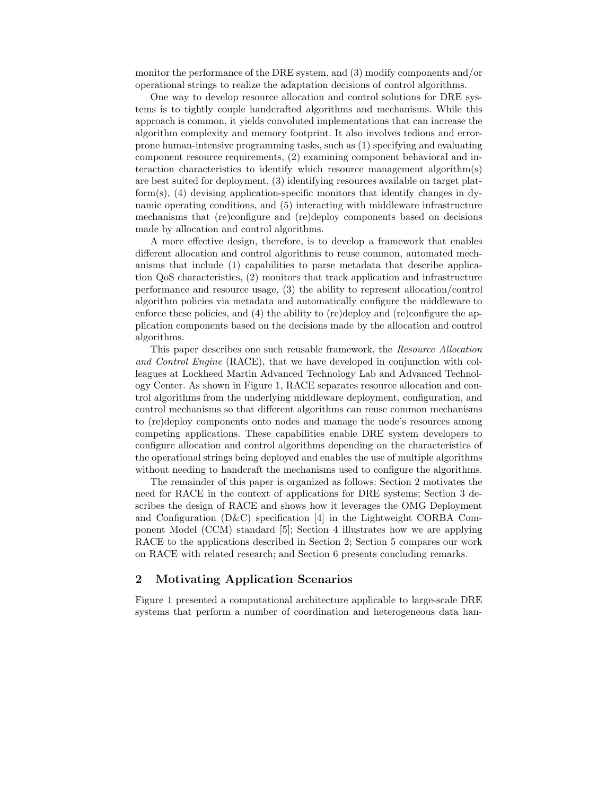monitor the performance of the DRE system, and (3) modify components and/or operational strings to realize the adaptation decisions of control algorithms.

One way to develop resource allocation and control solutions for DRE systems is to tightly couple handcrafted algorithms and mechanisms. While this approach is common, it yields convoluted implementations that can increase the algorithm complexity and memory footprint. It also involves tedious and errorprone human-intensive programming tasks, such as (1) specifying and evaluating component resource requirements, (2) examining component behavioral and interaction characteristics to identify which resource management algorithm(s) are best suited for deployment, (3) identifying resources available on target plat $form(s)$ , (4) devising application-specific monitors that identify changes in dynamic operating conditions, and (5) interacting with middleware infrastructure mechanisms that (re)configure and (re)deploy components based on decisions made by allocation and control algorithms.

A more effective design, therefore, is to develop a framework that enables different allocation and control algorithms to reuse common, automated mechanisms that include (1) capabilities to parse metadata that describe application QoS characteristics, (2) monitors that track application and infrastructure performance and resource usage, (3) the ability to represent allocation/control algorithm policies via metadata and automatically configure the middleware to enforce these policies, and (4) the ability to (re)deploy and (re)configure the application components based on the decisions made by the allocation and control algorithms.

This paper describes one such reusable framework, the Resource Allocation and Control Engine (RACE), that we have developed in conjunction with colleagues at Lockheed Martin Advanced Technology Lab and Advanced Technology Center. As shown in Figure 1, RACE separates resource allocation and control algorithms from the underlying middleware deployment, configuration, and control mechanisms so that different algorithms can reuse common mechanisms to (re)deploy components onto nodes and manage the node's resources among competing applications. These capabilities enable DRE system developers to configure allocation and control algorithms depending on the characteristics of the operational strings being deployed and enables the use of multiple algorithms without needing to handcraft the mechanisms used to configure the algorithms.

The remainder of this paper is organized as follows: Section 2 motivates the need for RACE in the context of applications for DRE systems; Section 3 describes the design of RACE and shows how it leverages the OMG Deployment and Configuration (D&C) specification [4] in the Lightweight CORBA Component Model (CCM) standard [5]; Section 4 illustrates how we are applying RACE to the applications described in Section 2; Section 5 compares our work on RACE with related research; and Section 6 presents concluding remarks.

## 2 Motivating Application Scenarios

Figure 1 presented a computational architecture applicable to large-scale DRE systems that perform a number of coordination and heterogeneous data han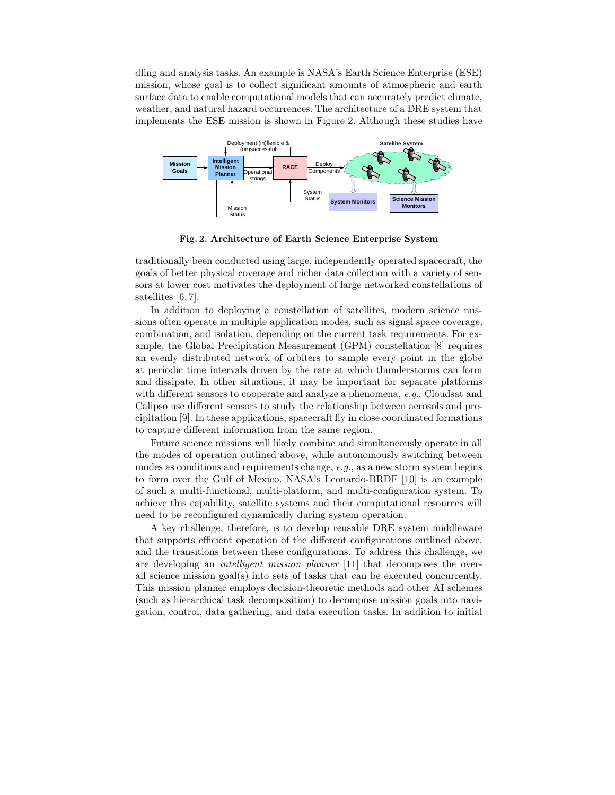dling and analysis tasks. An example is NASA's Earth Science Enterprise (ESE) mission, whose goal is to collect significant amounts of atmospheric and earth surface data to enable computational models that can accurately predict climate, weather, and natural hazard occurrences. The architecture of a DRE system that implements the ESE mission is shown in Figure 2. Although these studies have



Fig. 2. Architecture of Earth Science Enterprise System

traditionally been conducted using large, independently operated spacecraft, the goals of better physical coverage and richer data collection with a variety of sensors at lower cost motivates the deployment of large networked constellations of satellites [6, 7].

In addition to deploying a constellation of satellites, modern science missions often operate in multiple application modes, such as signal space coverage, combination, and isolation, depending on the current task requirements. For example, the Global Precipitation Measurement (GPM) constellation [8] requires an evenly distributed network of orbiters to sample every point in the globe at periodic time intervals driven by the rate at which thunderstorms can form and dissipate. In other situations, it may be important for separate platforms with different sensors to cooperate and analyze a phenomena, e.g., Cloudsat and Calipso use different sensors to study the relationship between aerosols and precipitation [9]. In these applications, spacecraft fly in close coordinated formations to capture different information from the same region.

Future science missions will likely combine and simultaneously operate in all the modes of operation outlined above, while autonomously switching between modes as conditions and requirements change, e.g., as a new storm system begins to form over the Gulf of Mexico. NASA's Leonardo-BRDF [10] is an example of such a multi-functional, multi-platform, and multi-configuration system. To achieve this capability, satellite systems and their computational resources will need to be reconfigured dynamically during system operation.

A key challenge, therefore, is to develop reusable DRE system middleware that supports efficient operation of the different configurations outlined above, and the transitions between these configurations. To address this challenge, we are developing an *intelligent mission planner* [11] that decomposes the overall science mission goal(s) into sets of tasks that can be executed concurrently. This mission planner employs decision-theoretic methods and other AI schemes (such as hierarchical task decomposition) to decompose mission goals into navigation, control, data gathering, and data execution tasks. In addition to initial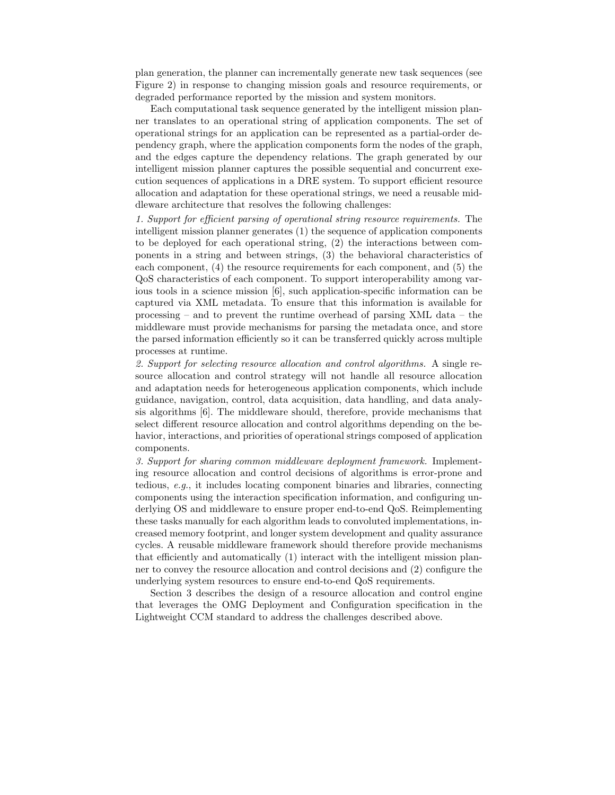plan generation, the planner can incrementally generate new task sequences (see Figure 2) in response to changing mission goals and resource requirements, or degraded performance reported by the mission and system monitors.

Each computational task sequence generated by the intelligent mission planner translates to an operational string of application components. The set of operational strings for an application can be represented as a partial-order dependency graph, where the application components form the nodes of the graph, and the edges capture the dependency relations. The graph generated by our intelligent mission planner captures the possible sequential and concurrent execution sequences of applications in a DRE system. To support efficient resource allocation and adaptation for these operational strings, we need a reusable middleware architecture that resolves the following challenges:

1. Support for efficient parsing of operational string resource requirements. The intelligent mission planner generates (1) the sequence of application components to be deployed for each operational string, (2) the interactions between components in a string and between strings, (3) the behavioral characteristics of each component, (4) the resource requirements for each component, and (5) the QoS characteristics of each component. To support interoperability among various tools in a science mission [6], such application-specific information can be captured via XML metadata. To ensure that this information is available for processing – and to prevent the runtime overhead of parsing XML data – the middleware must provide mechanisms for parsing the metadata once, and store the parsed information efficiently so it can be transferred quickly across multiple processes at runtime.

2. Support for selecting resource allocation and control algorithms. A single resource allocation and control strategy will not handle all resource allocation and adaptation needs for heterogeneous application components, which include guidance, navigation, control, data acquisition, data handling, and data analysis algorithms [6]. The middleware should, therefore, provide mechanisms that select different resource allocation and control algorithms depending on the behavior, interactions, and priorities of operational strings composed of application components.

3. Support for sharing common middleware deployment framework. Implementing resource allocation and control decisions of algorithms is error-prone and tedious, e.g., it includes locating component binaries and libraries, connecting components using the interaction specification information, and configuring underlying OS and middleware to ensure proper end-to-end QoS. Reimplementing these tasks manually for each algorithm leads to convoluted implementations, increased memory footprint, and longer system development and quality assurance cycles. A reusable middleware framework should therefore provide mechanisms that efficiently and automatically (1) interact with the intelligent mission planner to convey the resource allocation and control decisions and (2) configure the underlying system resources to ensure end-to-end QoS requirements.

Section 3 describes the design of a resource allocation and control engine that leverages the OMG Deployment and Configuration specification in the Lightweight CCM standard to address the challenges described above.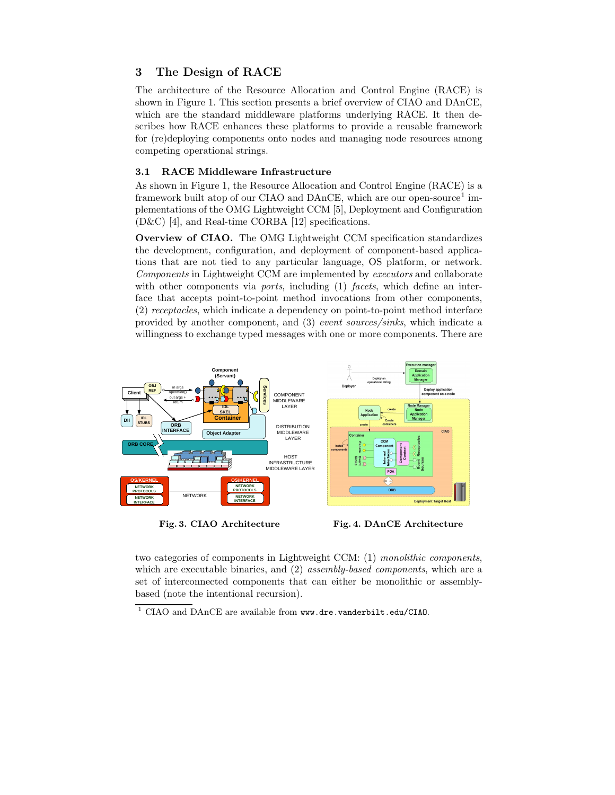# 3 The Design of RACE

The architecture of the Resource Allocation and Control Engine (RACE) is shown in Figure 1. This section presents a brief overview of CIAO and DAnCE, which are the standard middleware platforms underlying RACE. It then describes how RACE enhances these platforms to provide a reusable framework for (re)deploying components onto nodes and managing node resources among competing operational strings.

## 3.1 RACE Middleware Infrastructure

As shown in Figure 1, the Resource Allocation and Control Engine (RACE) is a framework built atop of our CIAO and DAnCE, which are our open-source<sup>1</sup> implementations of the OMG Lightweight CCM [5], Deployment and Configuration (D&C) [4], and Real-time CORBA [12] specifications.

Overview of CIAO. The OMG Lightweight CCM specification standardizes the development, configuration, and deployment of component-based applications that are not tied to any particular language, OS platform, or network. Components in Lightweight CCM are implemented by executors and collaborate with other components via *ports*, including (1) *facets*, which define an interface that accepts point-to-point method invocations from other components, (2) receptacles, which indicate a dependency on point-to-point method interface provided by another component, and (3) event sources/sinks, which indicate a willingness to exchange typed messages with one or more components. There are



Fig. 3. CIAO Architecture Fig. 4. DAnCE Architecture

two categories of components in Lightweight CCM: (1) monolithic components, which are executable binaries, and (2) *assembly-based components*, which are a set of interconnected components that can either be monolithic or assemblybased (note the intentional recursion).

 $1$  CIAO and DAnCE are available from www.dre.vanderbilt.edu/CIAO.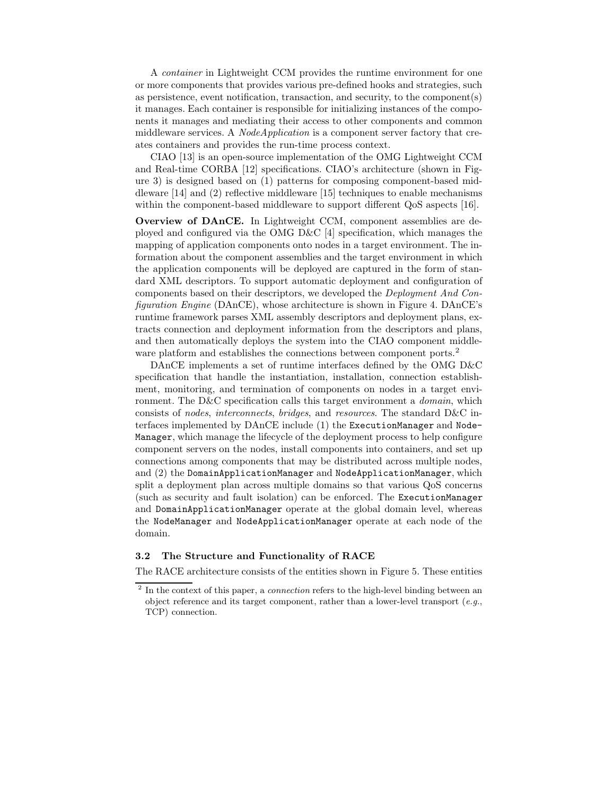A container in Lightweight CCM provides the runtime environment for one or more components that provides various pre-defined hooks and strategies, such as persistence, event notification, transaction, and security, to the component(s) it manages. Each container is responsible for initializing instances of the components it manages and mediating their access to other components and common middleware services. A *NodeApplication* is a component server factory that creates containers and provides the run-time process context.

CIAO [13] is an open-source implementation of the OMG Lightweight CCM and Real-time CORBA [12] specifications. CIAO's architecture (shown in Figure 3) is designed based on (1) patterns for composing component-based middleware [14] and (2) reflective middleware [15] techniques to enable mechanisms within the component-based middleware to support different QoS aspects [16].

Overview of DAnCE. In Lightweight CCM, component assemblies are deployed and configured via the OMG D&C [4] specification, which manages the mapping of application components onto nodes in a target environment. The information about the component assemblies and the target environment in which the application components will be deployed are captured in the form of standard XML descriptors. To support automatic deployment and configuration of components based on their descriptors, we developed the Deployment And Configuration Engine (DAnCE), whose architecture is shown in Figure 4. DAnCE's runtime framework parses XML assembly descriptors and deployment plans, extracts connection and deployment information from the descriptors and plans, and then automatically deploys the system into the CIAO component middleware platform and establishes the connections between component ports.<sup>2</sup>

DAnCE implements a set of runtime interfaces defined by the OMG D&C specification that handle the instantiation, installation, connection establishment, monitoring, and termination of components on nodes in a target environment. The D&C specification calls this target environment a *domain*, which consists of nodes, interconnects, bridges, and resources. The standard D&C interfaces implemented by DAnCE include (1) the ExecutionManager and Node-Manager, which manage the lifecycle of the deployment process to help configure component servers on the nodes, install components into containers, and set up connections among components that may be distributed across multiple nodes, and (2) the DomainApplicationManager and NodeApplicationManager, which split a deployment plan across multiple domains so that various QoS concerns (such as security and fault isolation) can be enforced. The ExecutionManager and DomainApplicationManager operate at the global domain level, whereas the NodeManager and NodeApplicationManager operate at each node of the domain.

#### 3.2 The Structure and Functionality of RACE

The RACE architecture consists of the entities shown in Figure 5. These entities

 $2$  In the context of this paper, a *connection* refers to the high-level binding between an object reference and its target component, rather than a lower-level transport (e.g., TCP) connection.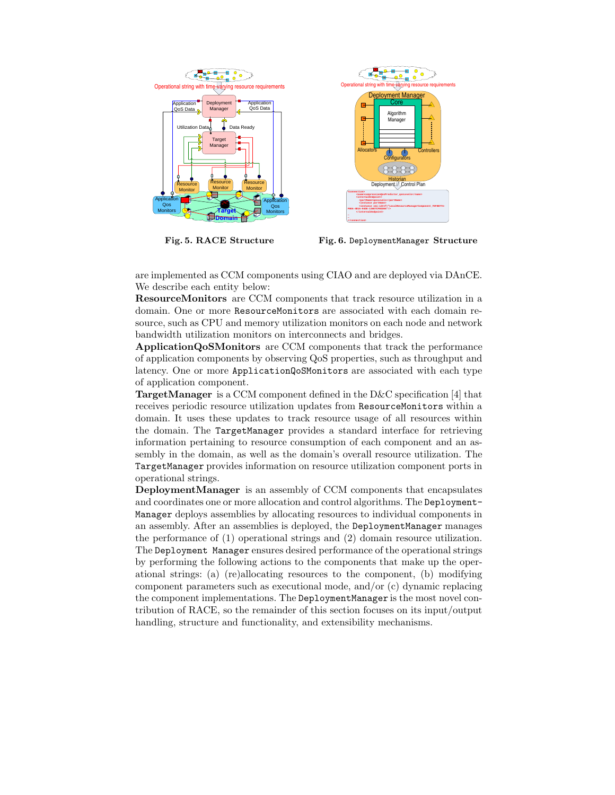

Fig. 5. RACE Structure

Fig. 6. DeploymentManager Structure

are implemented as CCM components using CIAO and are deployed via DAnCE. We describe each entity below:

ResourceMonitors are CCM components that track resource utilization in a domain. One or more ResourceMonitors are associated with each domain resource, such as CPU and memory utilization monitors on each node and network bandwidth utilization monitors on interconnects and bridges.

ApplicationQoSMonitors are CCM components that track the performance of application components by observing QoS properties, such as throughput and latency. One or more ApplicationQoSMonitors are associated with each type of application component.

TargetManager is a CCM component defined in the D&C specification [4] that receives periodic resource utilization updates from ResourceMonitors within a domain. It uses these updates to track resource usage of all resources within the domain. The TargetManager provides a standard interface for retrieving information pertaining to resource consumption of each component and an assembly in the domain, as well as the domain's overall resource utilization. The TargetManager provides information on resource utilization component ports in operational strings.

DeploymentManager is an assembly of CCM components that encapsulates and coordinates one or more allocation and control algorithms. The Deployment-Manager deploys assemblies by allocating resources to individual components in an assembly. After an assemblies is deployed, the DeploymentManager manages the performance of (1) operational strings and (2) domain resource utilization. The Deployment Manager ensures desired performance of the operational strings by performing the following actions to the components that make up the operational strings: (a) (re)allocating resources to the component, (b) modifying component parameters such as executional mode, and/or (c) dynamic replacing the component implementations. The DeploymentManager is the most novel contribution of RACE, so the remainder of this section focuses on its input/output handling, structure and functionality, and extensibility mechanisms.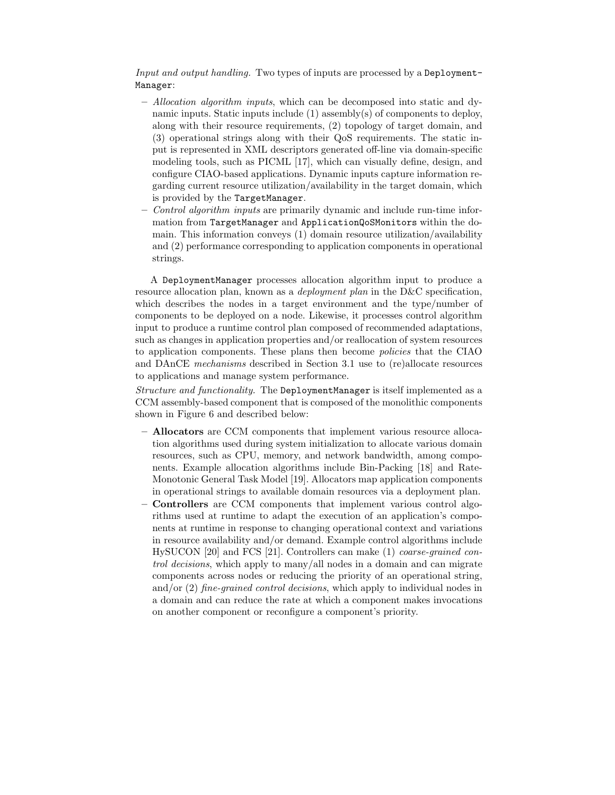Input and output handling. Two types of inputs are processed by a Deployment-Manager:

- Allocation algorithm inputs, which can be decomposed into static and dynamic inputs. Static inputs include (1) assembly(s) of components to deploy, along with their resource requirements, (2) topology of target domain, and (3) operational strings along with their QoS requirements. The static input is represented in XML descriptors generated off-line via domain-specific modeling tools, such as PICML [17], which can visually define, design, and configure CIAO-based applications. Dynamic inputs capture information regarding current resource utilization/availability in the target domain, which is provided by the TargetManager.
- Control algorithm inputs are primarily dynamic and include run-time information from TargetManager and ApplicationQoSMonitors within the domain. This information conveys (1) domain resource utilization/availability and (2) performance corresponding to application components in operational strings.

A DeploymentManager processes allocation algorithm input to produce a resource allocation plan, known as a *deployment plan* in the D&C specification, which describes the nodes in a target environment and the type/number of components to be deployed on a node. Likewise, it processes control algorithm input to produce a runtime control plan composed of recommended adaptations, such as changes in application properties and/or reallocation of system resources to application components. These plans then become policies that the CIAO and DAnCE mechanisms described in Section 3.1 use to (re)allocate resources to applications and manage system performance.

Structure and functionality. The DeploymentManager is itself implemented as a CCM assembly-based component that is composed of the monolithic components shown in Figure 6 and described below:

- Allocators are CCM components that implement various resource allocation algorithms used during system initialization to allocate various domain resources, such as CPU, memory, and network bandwidth, among components. Example allocation algorithms include Bin-Packing [18] and Rate-Monotonic General Task Model [19]. Allocators map application components in operational strings to available domain resources via a deployment plan.
- Controllers are CCM components that implement various control algorithms used at runtime to adapt the execution of an application's components at runtime in response to changing operational context and variations in resource availability and/or demand. Example control algorithms include HySUCON [20] and FCS [21]. Controllers can make (1) coarse-grained control decisions, which apply to many/all nodes in a domain and can migrate components across nodes or reducing the priority of an operational string, and/or  $(2)$  fine-grained control decisions, which apply to individual nodes in a domain and can reduce the rate at which a component makes invocations on another component or reconfigure a component's priority.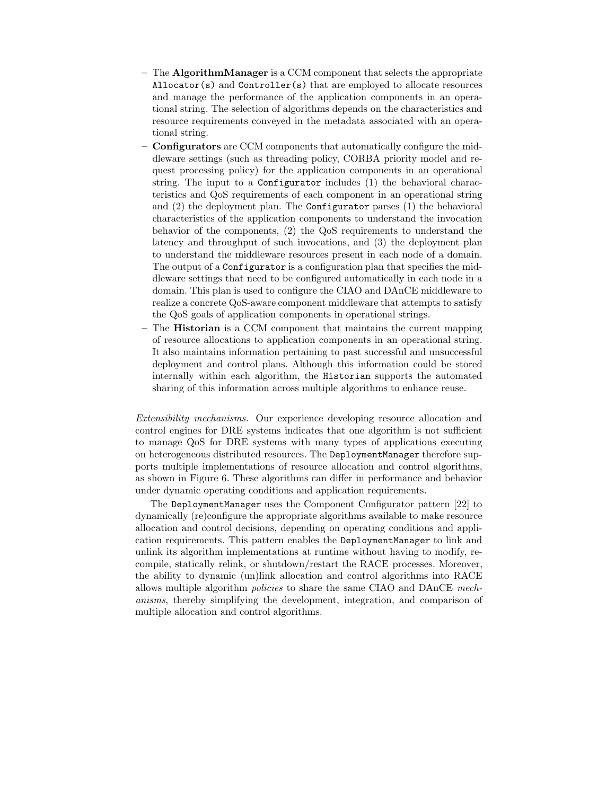- $-$  The **AlgorithmManager** is a CCM component that selects the appropriate Allocator(s) and Controller(s) that are employed to allocate resources and manage the performance of the application components in an operational string. The selection of algorithms depends on the characteristics and resource requirements conveyed in the metadata associated with an operational string.
- Configurators are CCM components that automatically configure the middleware settings (such as threading policy, CORBA priority model and request processing policy) for the application components in an operational string. The input to a Configurator includes (1) the behavioral characteristics and QoS requirements of each component in an operational string and  $(2)$  the deployment plan. The Configurator parses  $(1)$  the behavioral characteristics of the application components to understand the invocation behavior of the components, (2) the QoS requirements to understand the latency and throughput of such invocations, and (3) the deployment plan to understand the middleware resources present in each node of a domain. The output of a Configurator is a configuration plan that specifies the middleware settings that need to be configured automatically in each node in a domain. This plan is used to configure the CIAO and DAnCE middleware to realize a concrete QoS-aware component middleware that attempts to satisfy the QoS goals of application components in operational strings.
- $-$  The **Historian** is a CCM component that maintains the current mapping of resource allocations to application components in an operational string. It also maintains information pertaining to past successful and unsuccessful deployment and control plans. Although this information could be stored internally within each algorithm, the Historian supports the automated sharing of this information across multiple algorithms to enhance reuse.

Extensibility mechanisms. Our experience developing resource allocation and control engines for DRE systems indicates that one algorithm is not sufficient to manage QoS for DRE systems with many types of applications executing on heterogeneous distributed resources. The DeploymentManager therefore supports multiple implementations of resource allocation and control algorithms, as shown in Figure 6. These algorithms can differ in performance and behavior under dynamic operating conditions and application requirements.

The DeploymentManager uses the Component Configurator pattern [22] to dynamically (re)configure the appropriate algorithms available to make resource allocation and control decisions, depending on operating conditions and application requirements. This pattern enables the DeploymentManager to link and unlink its algorithm implementations at runtime without having to modify, recompile, statically relink, or shutdown/restart the RACE processes. Moreover, the ability to dynamic (un)link allocation and control algorithms into RACE allows multiple algorithm policies to share the same CIAO and DAnCE mechanisms, thereby simplifying the development, integration, and comparison of multiple allocation and control algorithms.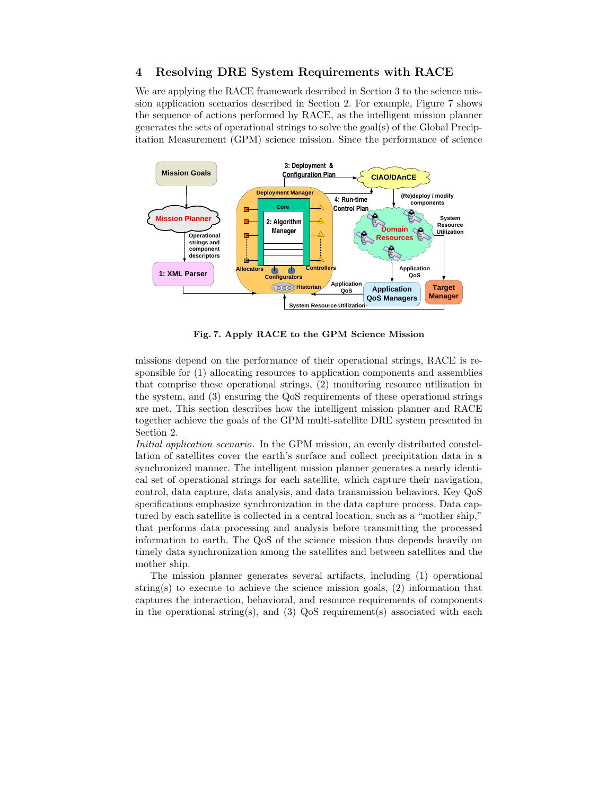# 4 Resolving DRE System Requirements with RACE

We are applying the RACE framework described in Section 3 to the science mission application scenarios described in Section 2. For example, Figure 7 shows the sequence of actions performed by RACE, as the intelligent mission planner generates the sets of operational strings to solve the goal(s) of the Global Precipitation Measurement (GPM) science mission. Since the performance of science



Fig. 7. Apply RACE to the GPM Science Mission

missions depend on the performance of their operational strings, RACE is responsible for (1) allocating resources to application components and assemblies that comprise these operational strings, (2) monitoring resource utilization in the system, and (3) ensuring the QoS requirements of these operational strings are met. This section describes how the intelligent mission planner and RACE together achieve the goals of the GPM multi-satellite DRE system presented in Section 2.

Initial application scenario. In the GPM mission, an evenly distributed constellation of satellites cover the earth's surface and collect precipitation data in a synchronized manner. The intelligent mission planner generates a nearly identical set of operational strings for each satellite, which capture their navigation, control, data capture, data analysis, and data transmission behaviors. Key QoS specifications emphasize synchronization in the data capture process. Data captured by each satellite is collected in a central location, such as a "mother ship," that performs data processing and analysis before transmitting the processed information to earth. The QoS of the science mission thus depends heavily on timely data synchronization among the satellites and between satellites and the mother ship.

The mission planner generates several artifacts, including (1) operational string(s) to execute to achieve the science mission goals,  $(2)$  information that captures the interaction, behavioral, and resource requirements of components in the operational string(s), and (3)  $QoS$  requirement(s) associated with each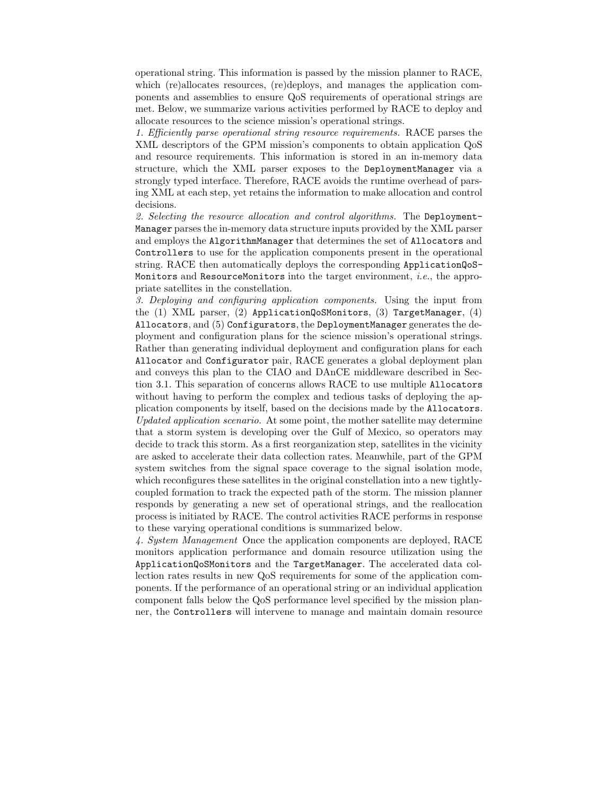operational string. This information is passed by the mission planner to RACE, which (re)allocates resources, (re)deploys, and manages the application components and assemblies to ensure QoS requirements of operational strings are met. Below, we summarize various activities performed by RACE to deploy and allocate resources to the science mission's operational strings.

1. Efficiently parse operational string resource requirements. RACE parses the XML descriptors of the GPM mission's components to obtain application QoS and resource requirements. This information is stored in an in-memory data structure, which the XML parser exposes to the DeploymentManager via a strongly typed interface. Therefore, RACE avoids the runtime overhead of parsing XML at each step, yet retains the information to make allocation and control decisions.

2. Selecting the resource allocation and control algorithms. The Deployment-Manager parses the in-memory data structure inputs provided by the XML parser and employs the AlgorithmManager that determines the set of Allocators and Controllers to use for the application components present in the operational string. RACE then automatically deploys the corresponding ApplicationQoS-Monitors and ResourceMonitors into the target environment, i.e., the appropriate satellites in the constellation.

3. Deploying and configuring application components. Using the input from the (1) XML parser, (2) ApplicationQoSMonitors, (3) TargetManager, (4) Allocators, and (5) Configurators, the DeploymentManager generates the deployment and configuration plans for the science mission's operational strings. Rather than generating individual deployment and configuration plans for each Allocator and Configurator pair, RACE generates a global deployment plan and conveys this plan to the CIAO and DAnCE middleware described in Section 3.1. This separation of concerns allows RACE to use multiple Allocators without having to perform the complex and tedious tasks of deploying the application components by itself, based on the decisions made by the Allocators. Updated application scenario. At some point, the mother satellite may determine that a storm system is developing over the Gulf of Mexico, so operators may decide to track this storm. As a first reorganization step, satellites in the vicinity are asked to accelerate their data collection rates. Meanwhile, part of the GPM system switches from the signal space coverage to the signal isolation mode, which reconfigures these satellites in the original constellation into a new tightlycoupled formation to track the expected path of the storm. The mission planner responds by generating a new set of operational strings, and the reallocation process is initiated by RACE. The control activities RACE performs in response to these varying operational conditions is summarized below.

4. System Management Once the application components are deployed, RACE monitors application performance and domain resource utilization using the ApplicationQoSMonitors and the TargetManager. The accelerated data collection rates results in new QoS requirements for some of the application components. If the performance of an operational string or an individual application component falls below the QoS performance level specified by the mission planner, the Controllers will intervene to manage and maintain domain resource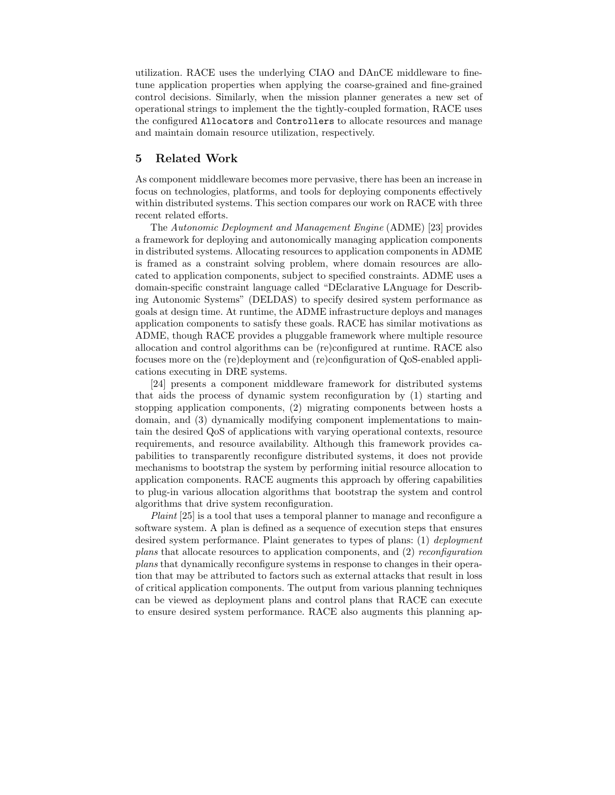utilization. RACE uses the underlying CIAO and DAnCE middleware to finetune application properties when applying the coarse-grained and fine-grained control decisions. Similarly, when the mission planner generates a new set of operational strings to implement the the tightly-coupled formation, RACE uses the configured Allocators and Controllers to allocate resources and manage and maintain domain resource utilization, respectively.

## 5 Related Work

As component middleware becomes more pervasive, there has been an increase in focus on technologies, platforms, and tools for deploying components effectively within distributed systems. This section compares our work on RACE with three recent related efforts.

The Autonomic Deployment and Management Engine (ADME) [23] provides a framework for deploying and autonomically managing application components in distributed systems. Allocating resources to application components in ADME is framed as a constraint solving problem, where domain resources are allocated to application components, subject to specified constraints. ADME uses a domain-specific constraint language called "DEclarative LAnguage for Describing Autonomic Systems" (DELDAS) to specify desired system performance as goals at design time. At runtime, the ADME infrastructure deploys and manages application components to satisfy these goals. RACE has similar motivations as ADME, though RACE provides a pluggable framework where multiple resource allocation and control algorithms can be (re)configured at runtime. RACE also focuses more on the (re)deployment and (re)configuration of QoS-enabled applications executing in DRE systems.

[24] presents a component middleware framework for distributed systems that aids the process of dynamic system reconfiguration by (1) starting and stopping application components, (2) migrating components between hosts a domain, and (3) dynamically modifying component implementations to maintain the desired QoS of applications with varying operational contexts, resource requirements, and resource availability. Although this framework provides capabilities to transparently reconfigure distributed systems, it does not provide mechanisms to bootstrap the system by performing initial resource allocation to application components. RACE augments this approach by offering capabilities to plug-in various allocation algorithms that bootstrap the system and control algorithms that drive system reconfiguration.

Plaint [25] is a tool that uses a temporal planner to manage and reconfigure a software system. A plan is defined as a sequence of execution steps that ensures desired system performance. Plaint generates to types of plans: (1) deployment plans that allocate resources to application components, and (2) reconfiguration plans that dynamically reconfigure systems in response to changes in their operation that may be attributed to factors such as external attacks that result in loss of critical application components. The output from various planning techniques can be viewed as deployment plans and control plans that RACE can execute to ensure desired system performance. RACE also augments this planning ap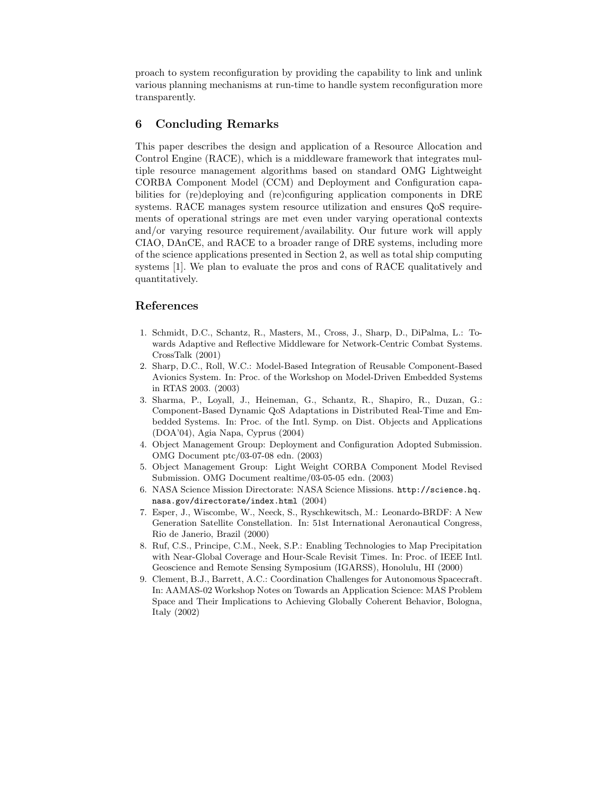proach to system reconfiguration by providing the capability to link and unlink various planning mechanisms at run-time to handle system reconfiguration more transparently.

## 6 Concluding Remarks

This paper describes the design and application of a Resource Allocation and Control Engine (RACE), which is a middleware framework that integrates multiple resource management algorithms based on standard OMG Lightweight CORBA Component Model (CCM) and Deployment and Configuration capabilities for (re)deploying and (re)configuring application components in DRE systems. RACE manages system resource utilization and ensures QoS requirements of operational strings are met even under varying operational contexts and/or varying resource requirement/availability. Our future work will apply CIAO, DAnCE, and RACE to a broader range of DRE systems, including more of the science applications presented in Section 2, as well as total ship computing systems [1]. We plan to evaluate the pros and cons of RACE qualitatively and quantitatively.

## References

- 1. Schmidt, D.C., Schantz, R., Masters, M., Cross, J., Sharp, D., DiPalma, L.: Towards Adaptive and Reflective Middleware for Network-Centric Combat Systems. CrossTalk (2001)
- 2. Sharp, D.C., Roll, W.C.: Model-Based Integration of Reusable Component-Based Avionics System. In: Proc. of the Workshop on Model-Driven Embedded Systems in RTAS 2003. (2003)
- 3. Sharma, P., Loyall, J., Heineman, G., Schantz, R., Shapiro, R., Duzan, G.: Component-Based Dynamic QoS Adaptations in Distributed Real-Time and Embedded Systems. In: Proc. of the Intl. Symp. on Dist. Objects and Applications (DOA'04), Agia Napa, Cyprus (2004)
- 4. Object Management Group: Deployment and Configuration Adopted Submission. OMG Document ptc/03-07-08 edn. (2003)
- 5. Object Management Group: Light Weight CORBA Component Model Revised Submission. OMG Document realtime/03-05-05 edn. (2003)
- 6. NASA Science Mission Directorate: NASA Science Missions. http://science.hq. nasa.gov/directorate/index.html (2004)
- 7. Esper, J., Wiscombe, W., Neeck, S., Ryschkewitsch, M.: Leonardo-BRDF: A New Generation Satellite Constellation. In: 51st International Aeronautical Congress, Rio de Janerio, Brazil (2000)
- 8. Ruf, C.S., Principe, C.M., Neek, S.P.: Enabling Technologies to Map Precipitation with Near-Global Coverage and Hour-Scale Revisit Times. In: Proc. of IEEE Intl. Geoscience and Remote Sensing Symposium (IGARSS), Honolulu, HI (2000)
- 9. Clement, B.J., Barrett, A.C.: Coordination Challenges for Autonomous Spacecraft. In: AAMAS-02 Workshop Notes on Towards an Application Science: MAS Problem Space and Their Implications to Achieving Globally Coherent Behavior, Bologna, Italy (2002)